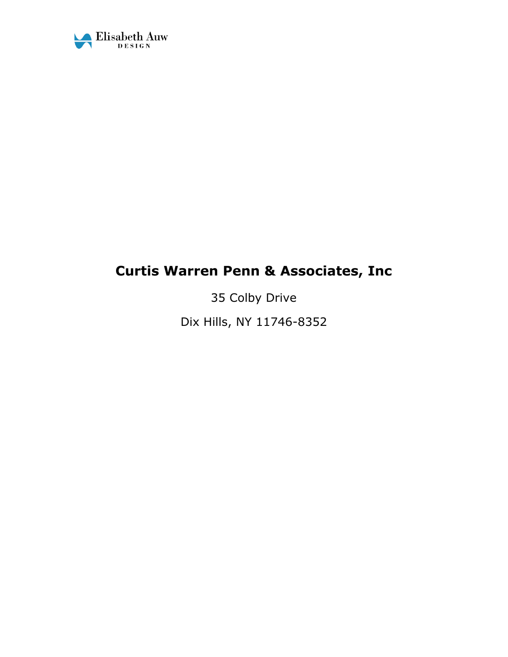

# **Curtis Warren Penn & Associates, Inc**

35 Colby Drive Dix Hills, NY 11746-8352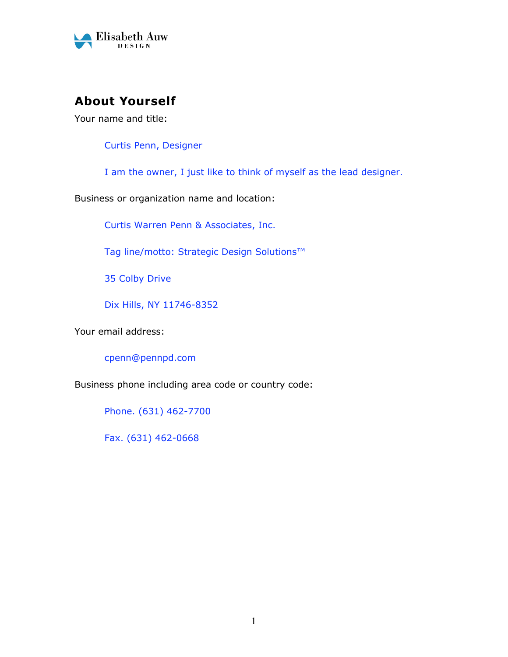

# **About Yourself**

Your name and title:

Curtis Penn, Designer

I am the owner, I just like to think of myself as the lead designer.

Business or organization name and location:

Curtis Warren Penn & Associates, Inc.

Tag line/motto: Strategic Design Solutions™

35 Colby Drive

Dix Hills, NY 11746-8352

Your email address:

cpenn@pennpd.com

Business phone including area code or country code:

Phone. (631) 462-7700

Fax. (631) 462-0668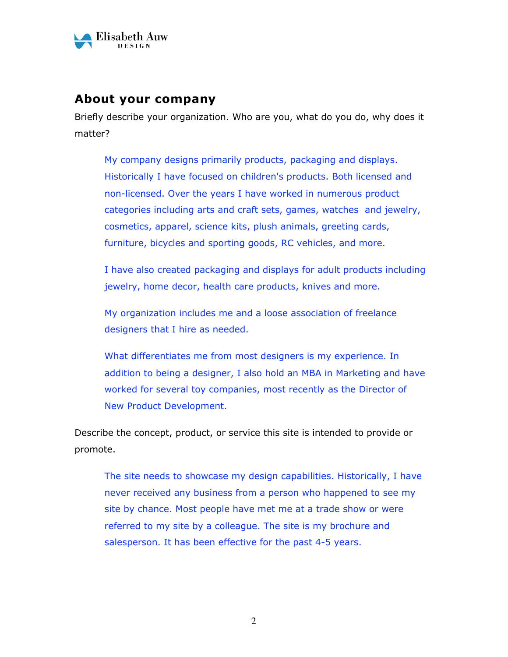

## **About your company**

Briefly describe your organization. Who are you, what do you do, why does it matter?

My company designs primarily products, packaging and displays. Historically I have focused on children's products. Both licensed and non-licensed. Over the years I have worked in numerous product categories including arts and craft sets, games, watches and jewelry, cosmetics, apparel, science kits, plush animals, greeting cards, furniture, bicycles and sporting goods, RC vehicles, and more.

I have also created packaging and displays for adult products including jewelry, home decor, health care products, knives and more.

My organization includes me and a loose association of freelance designers that I hire as needed.

What differentiates me from most designers is my experience. In addition to being a designer, I also hold an MBA in Marketing and have worked for several toy companies, most recently as the Director of New Product Development.

Describe the concept, product, or service this site is intended to provide or promote.

The site needs to showcase my design capabilities. Historically, I have never received any business from a person who happened to see my site by chance. Most people have met me at a trade show or were referred to my site by a colleague. The site is my brochure and salesperson. It has been effective for the past 4-5 years.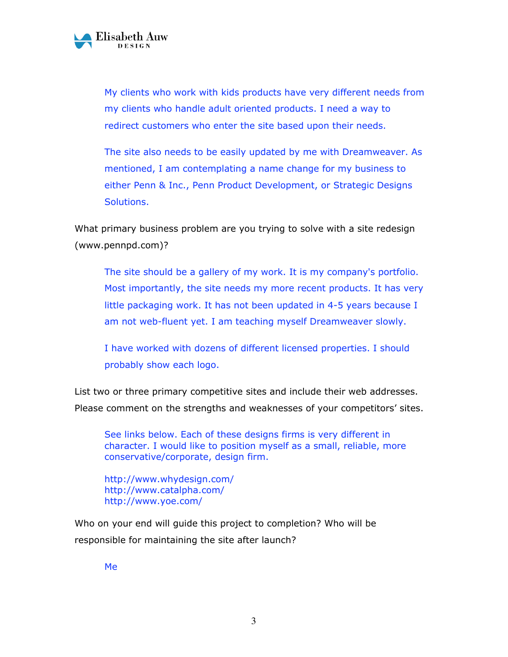

My clients who work with kids products have very different needs from my clients who handle adult oriented products. I need a way to redirect customers who enter the site based upon their needs.

The site also needs to be easily updated by me with Dreamweaver. As mentioned, I am contemplating a name change for my business to either Penn & Inc., Penn Product Development, or Strategic Designs Solutions.

What primary business problem are you trying to solve with a site redesign (www.pennpd.com)?

The site should be a gallery of my work. It is my company's portfolio. Most importantly, the site needs my more recent products. It has very little packaging work. It has not been updated in 4-5 years because I am not web-fluent yet. I am teaching myself Dreamweaver slowly.

I have worked with dozens of different licensed properties. I should probably show each logo.

List two or three primary competitive sites and include their web addresses. Please comment on the strengths and weaknesses of your competitors' sites.

See links below. Each of these designs firms is very different in character. I would like to position myself as a small, reliable, more conservative/corporate, design firm.

http://www.whydesign.com/ http://www.catalpha.com/ http://www.yoe.com/

Who on your end will guide this project to completion? Who will be responsible for maintaining the site after launch?

Me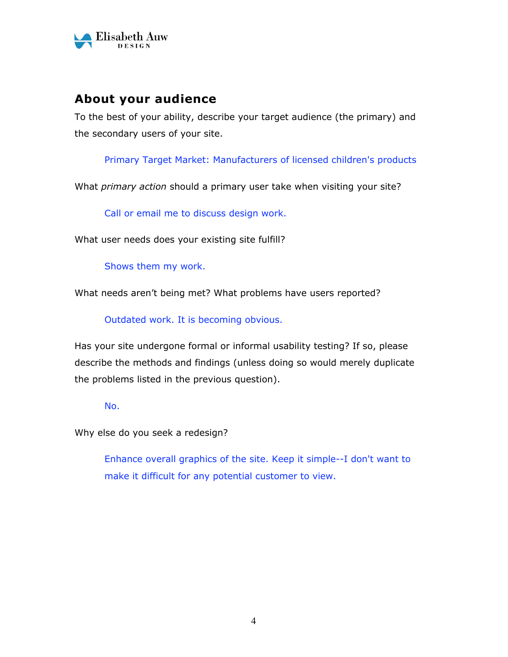

## **About your audience**

To the best of your ability, describe your target audience (the primary) and the secondary users of your site.

Primary Target Market: Manufacturers of licensed children's products

What *primary action* should a primary user take when visiting your site?

Call or email me to discuss design work.

What user needs does your existing site fulfill?

Shows them my work.

What needs aren't being met? What problems have users reported?

Outdated work. It is becoming obvious.

Has your site undergone formal or informal usability testing? If so, please describe the methods and findings (unless doing so would merely duplicate the problems listed in the previous question).

No.

Why else do you seek a redesign?

Enhance overall graphics of the site. Keep it simple--I don't want to make it difficult for any potential customer to view.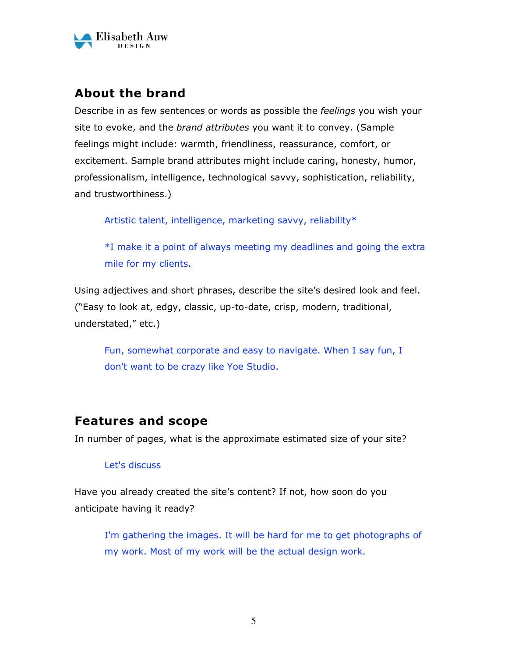

## **About the brand**

Describe in as few sentences or words as possible the *feelings* you wish your site to evoke, and the *brand attributes* you want it to convey. (Sample feelings might include: warmth, friendliness, reassurance, comfort, or excitement. Sample brand attributes might include caring, honesty, humor, professionalism, intelligence, technological savvy, sophistication, reliability, and trustworthiness.)

Artistic talent, intelligence, marketing savvy, reliability\*

\*I make it a point of always meeting my deadlines and going the extra mile for my clients.

Using adjectives and short phrases, describe the site's desired look and feel. ("Easy to look at, edgy, classic, up-to-date, crisp, modern, traditional, understated," etc.)

Fun, somewhat corporate and easy to navigate. When I say fun, I don't want to be crazy like Yoe Studio.

## **Features and scope**

In number of pages, what is the approximate estimated size of your site?

#### Let's discuss

Have you already created the site's content? If not, how soon do you anticipate having it ready?

I'm gathering the images. It will be hard for me to get photographs of my work. Most of my work will be the actual design work.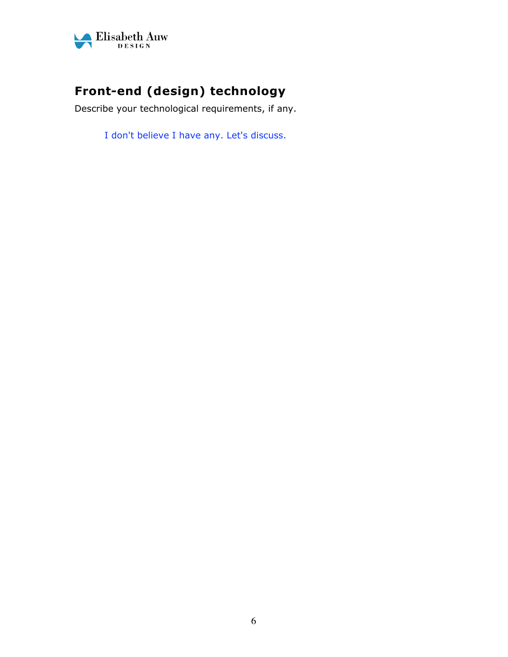

# **Front-end (design) technology**

Describe your technological requirements, if any.

I don't believe I have any. Let's discuss.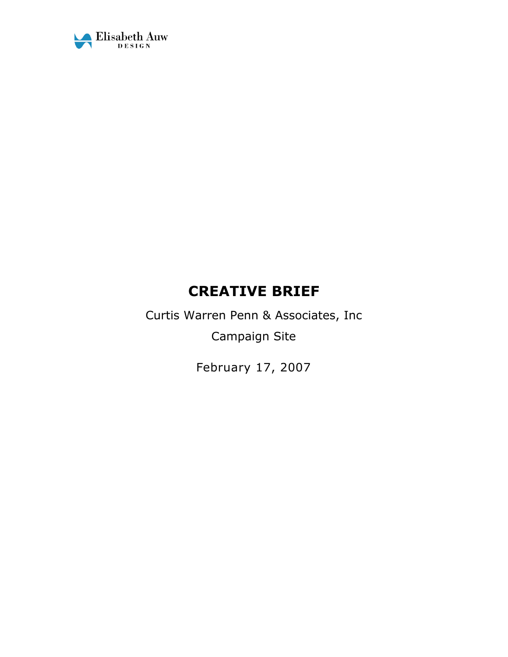

# **CREATIVE BRIEF**

Curtis Warren Penn & Associates, Inc Campaign Site

February 17, 2007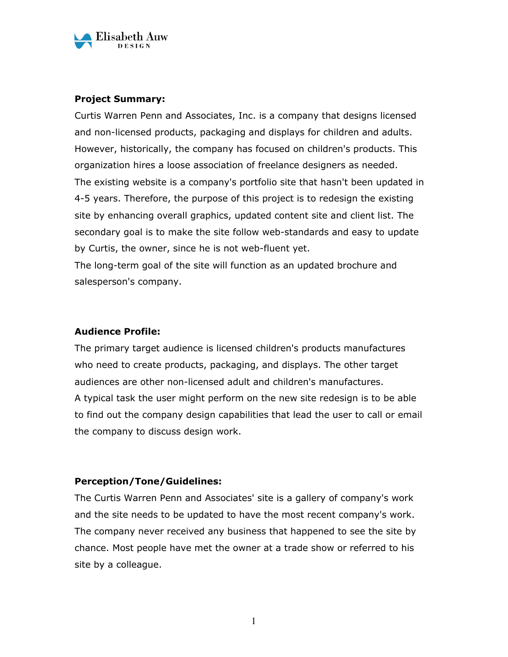

#### **Project Summary:**

Curtis Warren Penn and Associates, Inc. is a company that designs licensed and non-licensed products, packaging and displays for children and adults. However, historically, the company has focused on children's products. This organization hires a loose association of freelance designers as needed. The existing website is a company's portfolio site that hasn't been updated in 4-5 years. Therefore, the purpose of this project is to redesign the existing site by enhancing overall graphics, updated content site and client list. The secondary goal is to make the site follow web-standards and easy to update by Curtis, the owner, since he is not web-fluent yet.

The long-term goal of the site will function as an updated brochure and salesperson's company.

#### **Audience Profile:**

The primary target audience is licensed children's products manufactures who need to create products, packaging, and displays. The other target audiences are other non-licensed adult and children's manufactures. A typical task the user might perform on the new site redesign is to be able to find out the company design capabilities that lead the user to call or email the company to discuss design work.

#### **Perception/Tone/Guidelines:**

The Curtis Warren Penn and Associates' site is a gallery of company's work and the site needs to be updated to have the most recent company's work. The company never received any business that happened to see the site by chance. Most people have met the owner at a trade show or referred to his site by a colleague.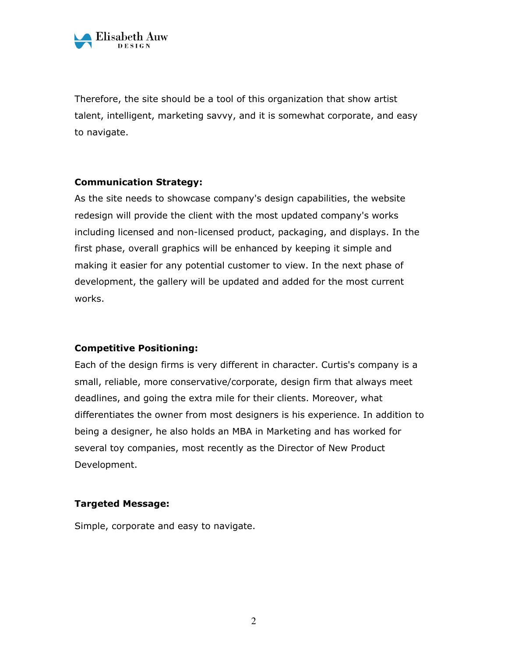

Therefore, the site should be a tool of this organization that show artist talent, intelligent, marketing savvy, and it is somewhat corporate, and easy to navigate.

#### **Communication Strategy:**

As the site needs to showcase company's design capabilities, the website redesign will provide the client with the most updated company's works including licensed and non-licensed product, packaging, and displays. In the first phase, overall graphics will be enhanced by keeping it simple and making it easier for any potential customer to view. In the next phase of development, the gallery will be updated and added for the most current works.

#### **Competitive Positioning:**

Each of the design firms is very different in character. Curtis's company is a small, reliable, more conservative/corporate, design firm that always meet deadlines, and going the extra mile for their clients. Moreover, what differentiates the owner from most designers is his experience. In addition to being a designer, he also holds an MBA in Marketing and has worked for several toy companies, most recently as the Director of New Product Development.

#### **Targeted Message:**

Simple, corporate and easy to navigate.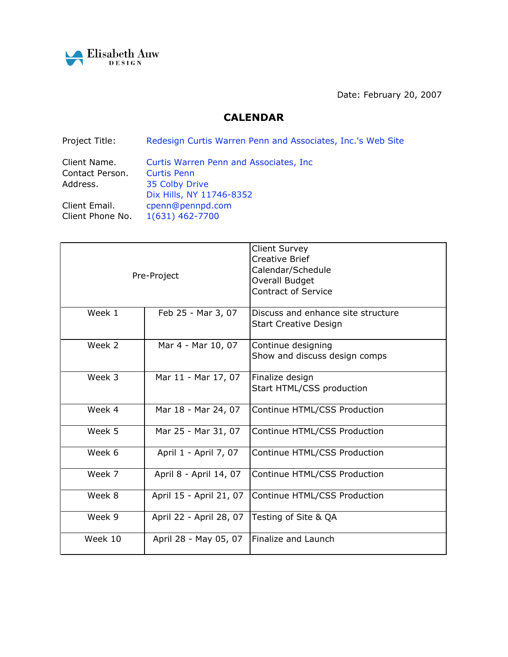

Date: February 20, 2007

#### **CALENDAR**

Project Title: Redesign Curtis Warren Penn and Associates, Inc.'s Web Site

| Client Name.     | Curtis Warren Penn and Associates, Inc. |
|------------------|-----------------------------------------|
| Contact Person.  | <b>Curtis Penn</b>                      |
| Address.         | 35 Colby Drive                          |
|                  | Dix Hills, NY 11746-8352                |
| Client Email.    | cpenn@pennpd.com                        |
| Client Phone No. | 1(631) 462-7700                         |

| Pre-Project |                         | <b>Client Survey</b><br><b>Creative Brief</b><br>Calendar/Schedule<br>Overall Budget<br><b>Contract of Service</b> |  |
|-------------|-------------------------|--------------------------------------------------------------------------------------------------------------------|--|
| Week 1      | Feb 25 - Mar 3, 07      | Discuss and enhance site structure<br><b>Start Creative Design</b>                                                 |  |
| Week 2      | Mar 4 - Mar 10, 07      | Continue designing<br>Show and discuss design comps                                                                |  |
| Week 3      | Mar 11 - Mar 17, 07     | Finalize design<br>Start HTML/CSS production                                                                       |  |
| Week 4      | Mar 18 - Mar 24, 07     | Continue HTML/CSS Production                                                                                       |  |
| Week 5      | Mar 25 - Mar 31, 07     | Continue HTML/CSS Production                                                                                       |  |
| Week 6      | April 1 - April 7, 07   | Continue HTML/CSS Production                                                                                       |  |
| Week 7      | April 8 - April 14, 07  | Continue HTML/CSS Production                                                                                       |  |
| Week 8      | April 15 - April 21, 07 | Continue HTML/CSS Production                                                                                       |  |
| Week 9      | April 22 - April 28, 07 | Testing of Site & QA                                                                                               |  |
| Week 10     | April 28 - May 05, 07   | Finalize and Launch                                                                                                |  |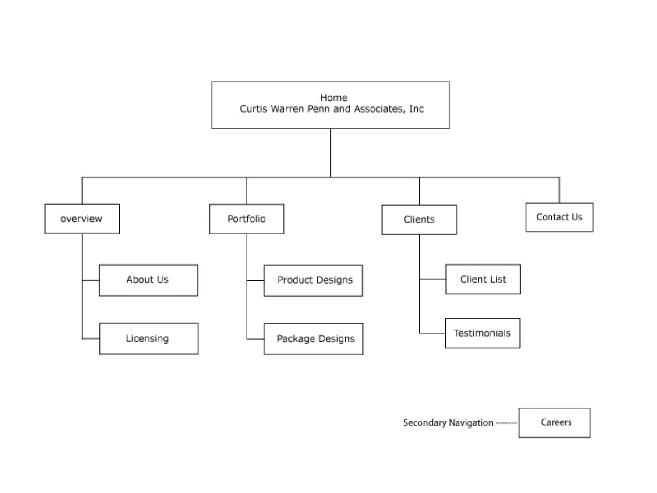

Secondary Navigation -------Careers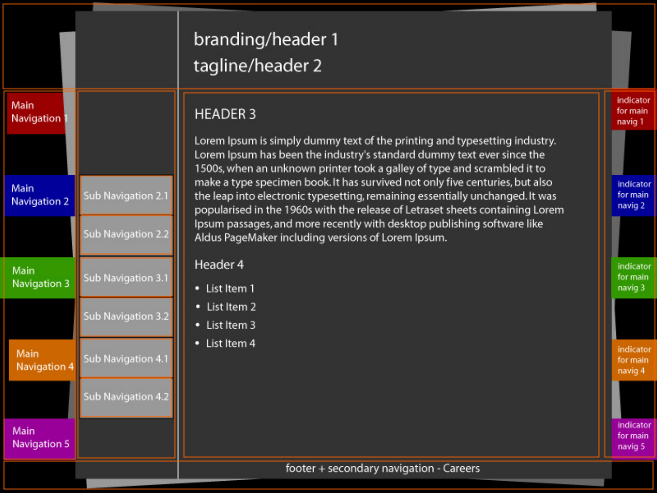| Main<br>Navigation   |                    |            |
|----------------------|--------------------|------------|
|                      |                    |            |
| Main<br>Navigation 2 | Sub Navigation 2.1 | レレ 1mt ドリメ |
|                      | Sub Navigation 2.2 |            |
| Main<br>Navigation 3 | Sub Navigation 3.1 |            |
|                      | Sub Navigation 3.2 |            |
| Main<br>Navigation 4 | Sub Navigation 4.1 |            |
|                      | Sub Navigation 4.2 |            |
| Main<br>Navigation 5 |                    |            |
|                      |                    |            |

# branding/header 1 agline/header 2

# **IEADER 3**

orem Ipsum is simply dummy text of the printing and typesetting industry. orem Ipsum has been the industry's standard dummy text ever since the 500s, when an unknown printer took a galley of type and scrambled it to nake a type specimen book. It has survived not only five centuries, but also he leap into electronic typesetting, remaining essentially unchanged. It was opularised in the 1960s with the release of Letraset sheets containing Lorem psum passages, and more recently with desktop publishing software like Idus PageMaker including versions of Lorem Ipsum.

# leader 4

- List Item 1
- List Item 2
- List Item 3
- List Item 4

### footer + secondary navigation - Careers

# for main navig 2 indicator for main navig 3

indicator for main

navig 1

indicator

indicator for main navig 4

indicator for main navig 5